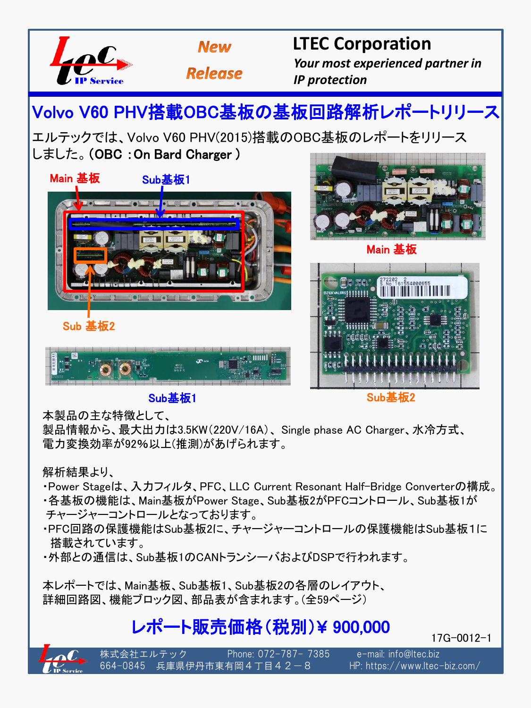

## **Sub基板1 Sub基板2**

本製品の主な特徴として、

製品情報から、最大出力は3.5KW(220V/16A)、 Single phase AC Charger、水冷方式、 電力変換効率が92%以上(推測)があげられます。

## 解析結果より、

・Power Stageは、入力フィルタ、PFC、LLC Current Resonant Half-Bridge Converterの構成。

- ・各基板の機能は、Main基板がPower Stage、Sub基板2がPFCコントロール、Sub基板1が チャージャーコントロールとなっております。
- ・PFC回路の保護機能はSub基板2に、チャージャーコントロールの保護機能はSub基板1に 搭載されています。
- ・外部との通信は、Sub基板1のCANトランシーバおよびDSPで行われます。

本レポートでは、Main基板、Sub基板1、Sub基板2の各層のレイアウト、 詳細回路図、機能ブロック図、部品表が含まれます。(全59ページ)

## レポート販売価格(税別)¥ 900,000

17G-0012-1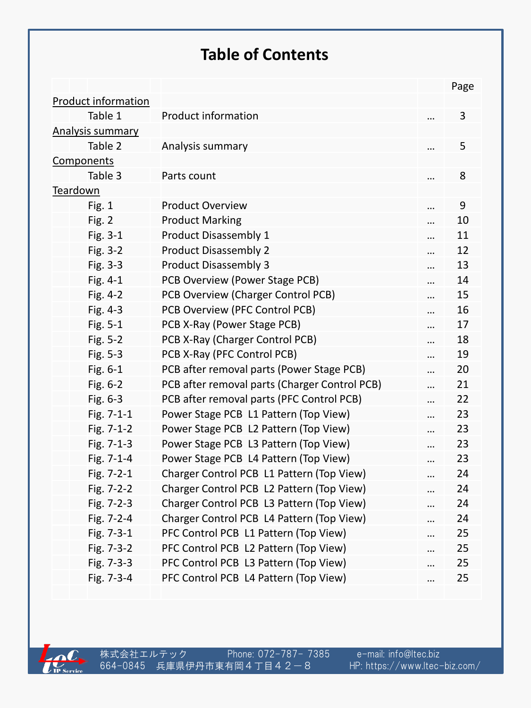## **Table of Contents**

|                            |                                               | Page   |
|----------------------------|-----------------------------------------------|--------|
| <b>Product information</b> |                                               |        |
| Table 1                    | <b>Product information</b>                    | 3      |
| <b>Analysis summary</b>    |                                               |        |
| Table 2                    | Analysis summary                              | 5      |
| Components                 |                                               |        |
| Table 3                    | Parts count                                   | 8      |
| Teardown                   |                                               |        |
| Fig. 1                     | <b>Product Overview</b>                       | <br>9  |
| Fig. 2                     | <b>Product Marking</b>                        | <br>10 |
| Fig. 3-1                   | Product Disassembly 1                         | <br>11 |
| Fig. 3-2                   | <b>Product Disassembly 2</b>                  | <br>12 |
| Fig. 3-3                   | <b>Product Disassembly 3</b>                  | <br>13 |
| Fig. 4-1                   | PCB Overview (Power Stage PCB)                | <br>14 |
| Fig. 4-2                   | PCB Overview (Charger Control PCB)            | <br>15 |
| Fig. 4-3                   | PCB Overview (PFC Control PCB)                | <br>16 |
| Fig. 5-1                   | PCB X-Ray (Power Stage PCB)                   | <br>17 |
| Fig. 5-2                   | PCB X-Ray (Charger Control PCB)               | <br>18 |
| Fig. 5-3                   | PCB X-Ray (PFC Control PCB)                   | <br>19 |
| Fig. 6-1                   | PCB after removal parts (Power Stage PCB)     | <br>20 |
| Fig. 6-2                   | PCB after removal parts (Charger Control PCB) | <br>21 |
| Fig. 6-3                   | PCB after removal parts (PFC Control PCB)     | <br>22 |
| Fig. 7-1-1                 | Power Stage PCB L1 Pattern (Top View)         | <br>23 |
| Fig. 7-1-2                 | Power Stage PCB L2 Pattern (Top View)         | <br>23 |
| Fig. 7-1-3                 | Power Stage PCB L3 Pattern (Top View)         | <br>23 |
| Fig. 7-1-4                 | Power Stage PCB L4 Pattern (Top View)         | <br>23 |
| Fig. 7-2-1                 | Charger Control PCB L1 Pattern (Top View)     | <br>24 |
| Fig. 7-2-2                 | Charger Control PCB L2 Pattern (Top View)     | <br>24 |
| Fig. 7-2-3                 | Charger Control PCB L3 Pattern (Top View)     | <br>24 |
| Fig. 7-2-4                 | Charger Control PCB L4 Pattern (Top View)     | <br>24 |
| Fig. 7-3-1                 | PFC Control PCB L1 Pattern (Top View)         | <br>25 |
| Fig. 7-3-2                 | PFC Control PCB L2 Pattern (Top View)         | <br>25 |
| Fig. 7-3-3                 | PFC Control PCB L3 Pattern (Top View)         | <br>25 |
| Fig. 7-3-4                 | PFC Control PCB L4 Pattern (Top View)         | <br>25 |